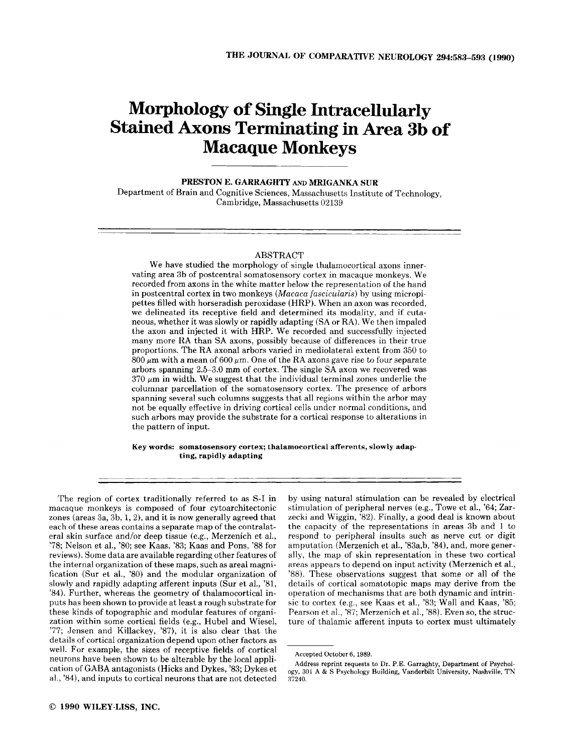# **Morphology of Single Intracellularly Stained Axom Terminating in Area 3b of Macaque Monkeys**

**PRESTON E. GARRAGHTY** *AND* **MRIGANKA SUR**  Department of Brain and Cognitive Sciences, Massachusetts Institute of Technology, Cambridge, Massachusetts 02139

#### ABSTRACT

We have studied the morphology of single thalamocortical axons innervating area 3b of postcentral somatosensory cortex in macaque monkeys. We recorded from axons in the white matter below the representation of the hand in postcentral cortex in two monkeys *(Macaca fascicularis)* by using micropipettes filled with horseradish peroxidase (HRP). When an axon was recorded, we delineated its receptive field and determined its modality, and if cutaneous, whether it was slowly or rapidly adapting **(SA** or RA). We then impaled the axon and injected it with HRP. We recorded and successfully injected many more RA than SA axons, possibly because of differences in their true proportions. The RA axonal arbors varied in mediolateral extent from 350 to  $800 \mu m$  with a mean of  $600 \mu m$ . One of the RA axons gave rise to four separate arbors spanning 2.5-3.0 mm of cortex. The single SA axon we recovered was  $370 \mu m$  in width. We suggest that the individual terminal zones underlie the columnar parcellation of the somatosensory cortex. The presence of arbors spanning several such columns suggests that all regions within the arbor may not be equally effective in driving cortical cells under normal conditions, and such arbors may provide the substrate for a cortical response to alterations in the pattern of input.

**Key words: somatosensory cortex; thalamocortical afferents, slowly adapting, rapidly adapting** 

The region of cortex traditionally referred to as S-I in macaque monkeys is composed of four cytoarchitectonic zones (areas 3a, 3b, 1, *a),* and it is now generally agreed that each of these areas contains a separate map of the contralatera1 skin surface and/or deep tissue (e.g., Merzenich et al., '78; Nelson et al., '80; see Kaas, '83; Kaas and Pons, '88 for reviews). Some data are available regarding other features of the internal organization of these maps, such as areal magnification (Sur et al., '80) and the modular organization of slowly and rapidly adapting afferent inputs (Sur et al., '81, '84). Further, whereas the geometry of thalamocortical inputs has been shown to provide at least a rough substrate for these kinds of topographic and modular features of organization within some cortical fields (e.g., Hubel and Wiesel, '77; Jensen and Killackey, *'87),* it is also clear that the details of cortical organization depend upon other factors as well. For example, the sizes of receptive fields of cortical neurons have been shown to be alterable by the local application of GABA antagonists (Hicks and Dykes, '83; Dykes et **al..** *'84),* and inputs to cortical neurons that are not detected

by using natural stimulation can be revealed by electrical stimulation of peripheral nerves (e.g.. Towe et al., **'64;** Zarzecki and Wiggin, '82). Finally, a good deal is known about the capacity of the representations in areas 3b and **1** to respond to peripheral insults such as nerve cut **or** digit amputation (Merzenich et al., '83a,b, '84), and, more generally, the map of skin representation in these two cortical areas appears to depend on input activity (Merzenich et al., '88). These observations suggest that some or all of the details of cortical somatotopic maps may derive from the operation of mechanisms that are both dynamic and intrinsic to cortex (eg, see Kaas et al., '83; Wall and Kaas, '85; Pearson et al., *'87;* Merzenich et al., *'88).* Even so, the structure of thalamic afferent inputs to cortex must ultimately

Accepted October 6, 1989.

Address reprint requests **to** Dr. P.E. Carraghty, Department of Psychology, **301 A** & S Psychology Building, Vanderbilt University, Nashville, TN **37240.**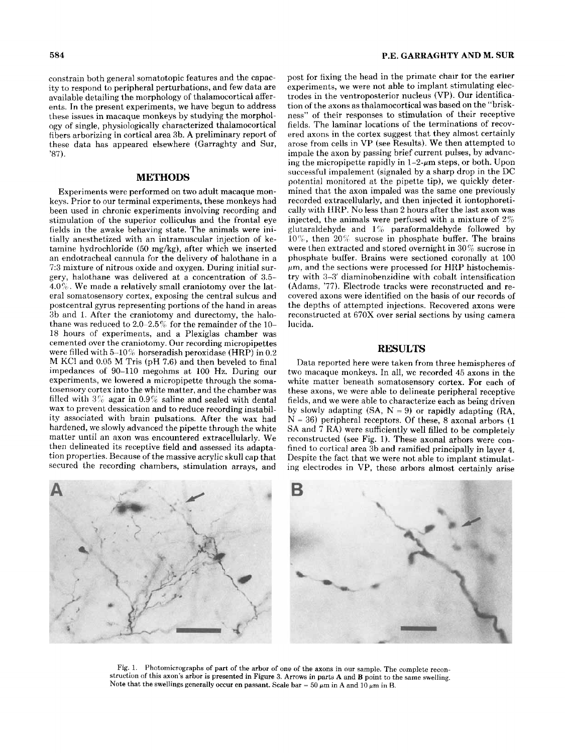constrain both general somatotopic features and the capacity to respond to peripheral perturbations, and few data are available detailing the morphology of thalamocortical afferents. In the present experiments, we have begun to address these issues in macaque monkeys by studying the morphology of single, physiologically characterized thalamocortical fibers arborizing in cortical area 3b. A preliminary report of these data has appeared elsewhere (Garraghty and Sur, '87).

#### **METHODS**

Experiments were performed on two adult macaque monkeys. Prior to our terminal experiments, these monkeys had been used in chronic experiments involving recording and stimulation of the superior colliculus and the frontal eye fields in the awake behaving state. The animals were initially anesthetized with an intramuscular injection of ketamine hydrochloride (50 mg/kg), after which we inserted an endotracheal cannula for the delivery **of** halothane in a 73 mixture of nitrous oxide and oxygen. During initial surgery, halothane was delivered at a concentration *of 3.5-*   $4.0\%$ . We made a relatively small craniotomy over the lateral somatosensory cortex, exposing the central sulcus and postcentral gyrus representing portions of the hand in areas 3b and 1. After the craniotomy and durectomy, the halothane was reduced to *2.0-2.54* for the remainder **of** the 10- 18 hours of experiments, and a Plexiglas chamber was cemented over the craniotomy. Our recording micropipettes were filled with  $5-10\%$  horseradish peroxidase (HRP) in 0.2 M KC1 and 0.05 M Tris (pH 7.6) and then beveled to final impedances of 90-110 megohms at 100 Hz. During our experiments, we lowered a micropipette through the somatosensory cortex into the white matter, and the chamber was filled with  $3\%$  agar in  $0.9\%$  saline and sealed with dental wax to prevent dessication and to reduce recording instability associated with brain pulsations. After the wax had hardened, we slowly advanced the pipette through the white matter until an axon was encountered extracellularly. We then delineated its receptive field and assessed its adaptation properties. Because of the massive acrylic skull cap that secured the recording chambers, stimulation arrays, and post for fixing the head in the primate chalr tor the earher experiments, we were not able to implant stimulating electrodes in the ventroposterior nucleus (VP). Our identification of the axons as thalamocortical was based on the "briskness" of their responses to stimulation of their receptive fields. The laminar locations of the terminations of recovered axons in the cortex suggest that they almost certainly arose from cells in VP (see Results). We then attempted to impale the axon by passing brief current pulses, by advancing the micropipette rapidly in  $1-2$ - $\mu$ m steps, or both. Upon successful impalement (signaled by a sharp drop in the DC potential monitored at the pipette tip), we quickly determined that the axon impaled was the same one previously recorded extracellularly, and then injected it iontophoretically with **IIRP.** No less than 2 hours after the last axon was injected, the animals were perfused with a mixture of  $2\%$ glutaraldehyde and  $1\%$  paraformaldehyde followed by  $10\%$ , then  $20\%$  sucrose in phosphate buffer. The brains were then extracted and stored overnight in  $30\%$  sucrose in phosphate buffer. Brains were sectioned coronally at 100  $\mu$ m, and the sections were processed for HRP histochemistry with 3-3' diaminobenzidine with cobalt intensification (Adams. *'77).* Electrode tracks were reconstructed and recovered axons were identified on the basis of our records of the depths of attempted injections. Recovered axons were reconstructed at 670X over serial sections by using camera lucida.

#### **RESULTS**

Data reported here were taken from three hemispheres of two macaque monkeys. In all, we recorded **45** axons in the white matter beneath somatosensory cortex. For each of these axons, we were able to delineate peripheral receptive fields, and we were able to characterize each as being driven by slowly adapting  $(SA, N = 9)$  or rapidly adapting  $(RA,$ N = **36)** peripheral receptors. Of these, 8 axonal arbors (1 **SA** and 7 RA) were sufficiently well filled to be completely reconstructed (see Fig. 1). These axonal arbors were confined to cortical area 3b and ramified principally in layer **4.**  Despite the fact that we were not able to implant stimulating electrodes in VP, these arbors almost certainly arise



Fig. 1. Photomicrographs of part of the arbor of one of the axons in our sample. The complete reconstruction of this axon's arbor is presented in Figure **3.** Arrows in parts **A** and **B** point to the same swelling. Note that the swellings generally occur en passant. Scale bar =  $50 \mu m$  in A and  $10 \mu m$  in B.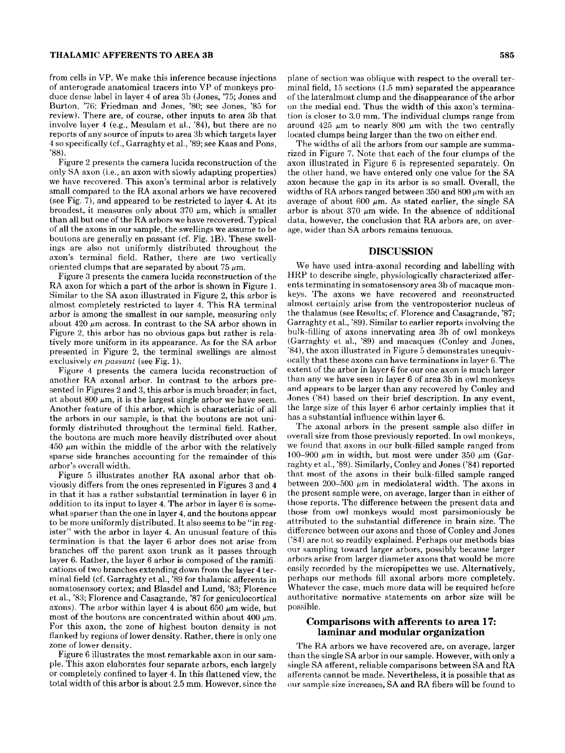#### **THALAMIC AFFERENTS TO AREA 3B** *585*

from cells in VP. We make this inference because injections of anterograde anatomical tracers into VP of monkeys produce dense label in layer 4 of area 3b (Jones, '75; Jones and Burton, '76; Friedman and Jones, '80; see Jones, '85 for review). There are, **of** course, other inputs to area 3b that involve layer **4** (e.g., Mesulam et al., '84), but there are no reports of any source of inputs to area 3b which targets layer 4 so specifically (cf., Garraghty et al., '89; see Kaas and Pons, '88).

Figure 2 presents the camera lucida reconstruction of the only SA axon (i.e., an axon with slowly adapting properties) we have recovered. This axon's terminal arbor is relatively small compared to the RA axonal arbors we have recovered (see Fig. 7), and appeared to be restricted to layer **4.** At its broadest, it measures only about  $370 \mu m$ , which is smaller than all but one of the RA arbors we have recovered. Typical of all the axons in our sample, the swellings we assume to be boutons are generally en passant (cf. Fig. 1B). These swellings are also not uniformly distributed throughout the axon's terminal field. Rather, there are two vertically oriented clumps that are separated by about 75  $\mu$ m.

Figure 3 presents the camera lucida reconstruction of the **RA** axon for which a part of the arbor is shown in Figure 1. Similar to the SA axon illustrated in Figure 2, this arbor is almost completely restricted to layer **4.** This RA terminal arbor is among the smallest in our sample, measuring only about 420  $\mu$ m across. In contrast to the SA arbor shown in Figure 2, this arbor has no obvious gaps but rather is relatively more uniform in its appearance. As for the SA arbor presented in Figure 2, the terminal swellings are almost exclusively *en passant* (see Fig. 1).

Figure **4** presents the camera lucida reconstruction of another RA axonal arbor. In contrast to the arbors presented in Figures 2 and **3,** this arbor is much broader; in fact, at about  $800 \mu m$ , it is the largest single arbor we have seen. Another feature of this arbor, which is characteristic of all the arbors in our sample, is that the boutons are not uniformly distributed throughout the terminal field. Rather, the boutons are much more heavily distrihuted over about  $450 \mu m$  within the middle of the arbor with the relatively sparse side branches accounting for the remainder of this arbor's overall width.

Figure 5 illustrates another RA axonal arbor that obviously differs from the ones represented in Figures **3** and **4**  in that it has a rather substantial termination in layer 6 in addition to its input to layer **4.** The arbor in layer 6 is somewhat sparser than the one in layer **4,** and the boutons appear to be more uniformly distributed. It also seems to be "in register" with the arbor in layer 4. An unusual feature of this termination is that the layer 6 arbor does not arise from branches off the parent axon trunk as it passes through layer 6. Rather, the layer 6 arbor is composed of the ramifications of two branches extending down from the layer 4 terminal field (cf. Garraghty et al., '89 for thalamic afferents in somatosensory cortex; and Blasdel and Lund, '83; Florence **et** al., *'83;* Florence and Casagrande, '87 for geniculocortical axons). The arbor within layer 4 is about 650  $\mu$ m wide, but most of the boutons are concentrated within about 400  $\mu$ m. For this axon, the zone of highest bouton density is not flanked by regions of lower density. Rather, there is only one zone of lower density.

Figure 6 illustrates the most remarkable axon in our sample. This axon elaborates four separate arbors, each largely or completely confined to layer **4.** In this flattened view, the total width of this arbor is about 2.5 mm. However, since the plane of section was oblique with respect to the overall terminal field, 15 sections (1.5 mm) separated the appearance of the lateralmost clump and the disappearance of the arbor on the medial end. Thus the width of this axon's termination is closer to *3.0* mm. The individual clumps range from around  $425 \mu m$  to nearly 800  $\mu m$  with the two centrally located clumps being larger than the two on either end.

The widths of all the arbors from our sample are summarized in Figure 7. Note that each of the four clumps of the axon illustrated in Figure 6 is represented separately. On the other hand, we have entered only one value for the SA axon because the gap in its arbor is so small. Overall, the widths of RA arbors ranged between  $350$  and  $800 \mu m$  with an average of about 600  $\mu$ m. As stated earlier, the single SA arbor is about 370  $\mu$ m wide. In the absence of additional data, however, the conclusion that RA arbors are, on average, wider than SA arbors remains tenuous.

### **DISCUSSION**

We have used intra-axonal recording and labelling with HRP to describe single, physiologically characterized afferents terminating in somatosensory area 3b of macaque monkeys. The axons we have recovered and reconstructed almost certainly arise from the ventroposterior nucleus of the thalamus (see Results; cf. Florence and Casagrande, '87; Garraghty et al., '89). Similar to earlier reports involving the bulk-filling of axons innervating area 3b of owl monkeys (Garraghty et al., '89) and macaques (Conley and Jones, '84), the axon illustrated in Figure 5 demonstrates unequivocally that these axons can have terminations in layer 6. The extent of the arbor in layer 6 for our one axon is much larger than any we have seen in layer 6 of area 3b in owl monkeys and appears to be larger than any recovered by Conley and dones ('84) based on their brief description. In any event, the large size of this layer 6 arbor certainly implies that it has a substantial influence within layer 6.

The axonal arbors in the present sample also differ in overall size from those previously reported. In owl monkeys, we found that axons in our bulk-filled sample ranged from 100-900  $\mu$ m in width, but most were under 350  $\mu$ m (Garraghty et al., '89). Similarly, Conley and Jones ('84) reported that most of the axons in their bulk-filled sample ranged between 200-500  $\mu$ m in mediolateral width. The axons in the present sample were, on average, larger than in either of those reports. The difference between the present data and those from owl monkeys would most parsimoniously be attributed to the substantial difference in brain size. The difference between our axons and those of Conley and Jones ('84) are not so readily explained. Perhaps our methods bias our sampling toward larger arbors, possibly because larger arbors arise from larger diameter axons that would he more easily recorded by the micropipettes we use. Alternatively, perhaps our methods fill axonal arbors more completely. Whatever the case, much more data will be required before authoritative normative statements on arbor size will be possible.

### **Comparisons with afferents to area 17: laminar and modular organization**

The RA arbors we have recovered are, on average, larger than the single SA arbor in our sample. However, with only a single SA afferent, reliable comparisons between SA and RA afferents cannot be made. Nevertheless, it is possible that as **oiir** sample **size increases,** SA and RA fibers will be found to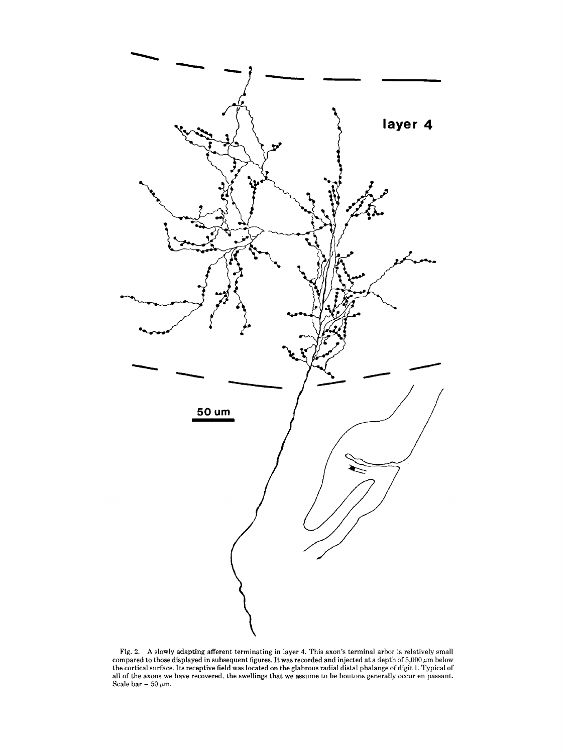

Fig. **2. A** slowly adapting afferent terminating in layer **4.** This axon's terminal arbor is relatively small compared to those displayed in subsequent figures. It was recorded and injected at a depth of 5,000  $\mu$ m below<br>the cortical surface. Its receptive field was located on the glabrous radial distal phalange of digit 1. Typi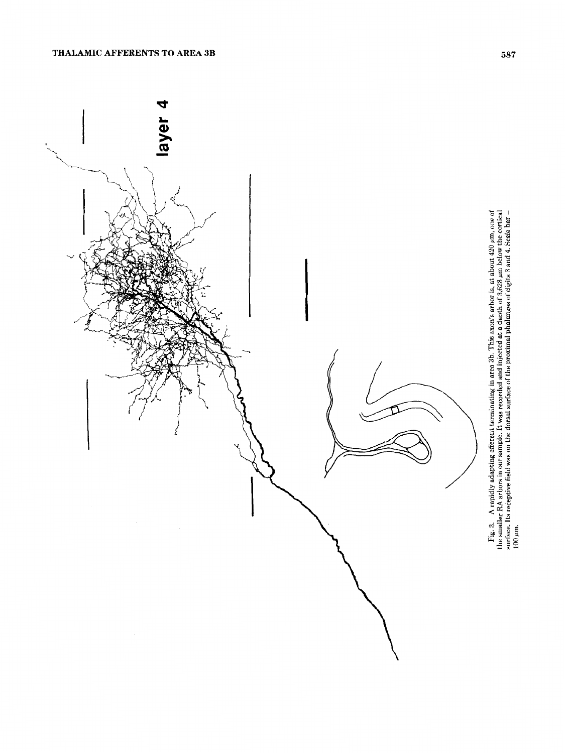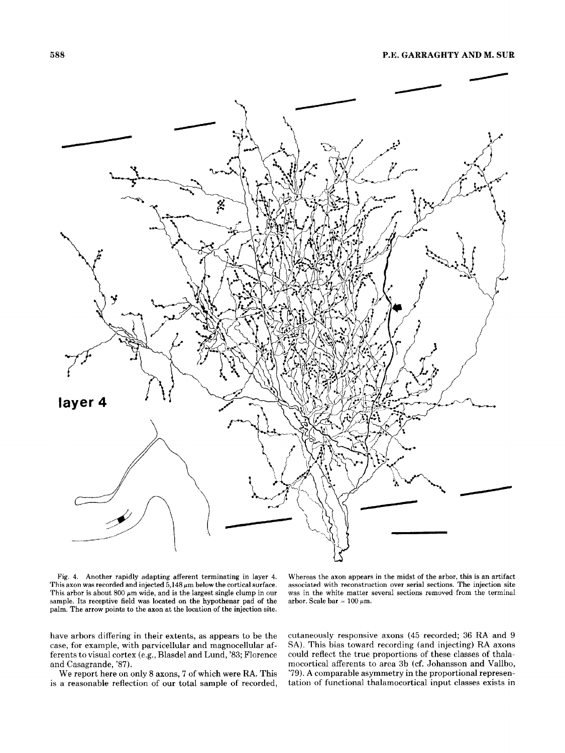

Fig. **4.** Another rapidly adapting afferent terminating in layer **4.**  This axon was recorded and injected  $5,148 \mu m$  below the cortical surface. This arbor is about 800  $\mu$ m wide, and is the largest single clump in our sample. Its receptive field was located on the hypothenar pad of the palm. The arrow points to the axon at the location of the injection site.

Whereas the axon appears in the midst *of* the arbor, this is an artifact associated with reconstruction over serial sections. The injection site was in the white matter several sections removed from the terminal arbor. Scale bar  $= 100 \mu m$ .

have arbors differing in their extents, as appears to be the case, for example, with parvicellular and magnocellular afferents to visual cortex (e.g., Blasdel and Lund, '83; Florence and Casagrande, '87).

We report here on only 8 axons, 7 of which were **RA.** This is a reasonable reflection of our total sample of recorded,

cutaneously responsive axons **(45** recorded; 36 **RA** and 9 **SA).** This bias toward recording (and injecting) **RA** axons could reflect the true proportions of these classes of thalamocortical afferents to area 3b (cf. Johansson and Vallbo, '79). **A** comparable asymmetry in the proportional representation of functional thalamocortical input classes exists in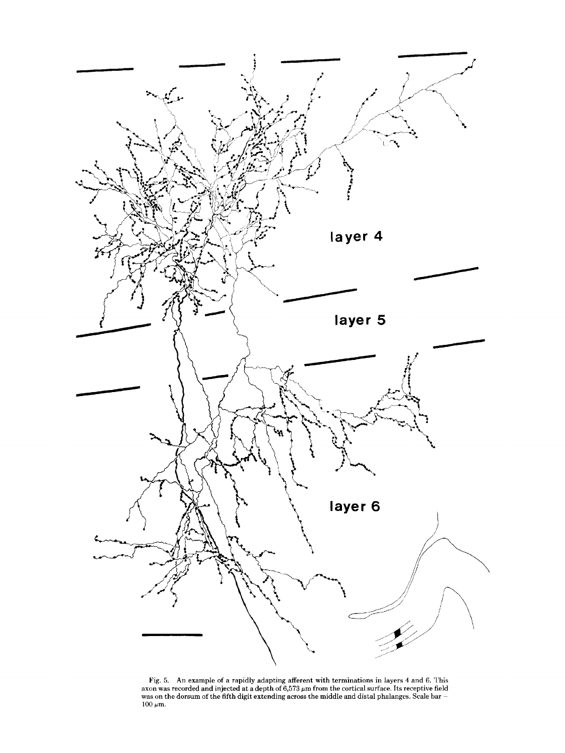

Pig. 5. **An** example of a rapidly adapting afferent with terminations in layers **4** and 6. This axon was recorded and injected at a depth of 6,573 **pm** from the cortical surface. Its receptive field was on the dorsum of the fifth digit extending across the middle and distal phalanges. Scale bar  $\pm 100$   $\mu$ m.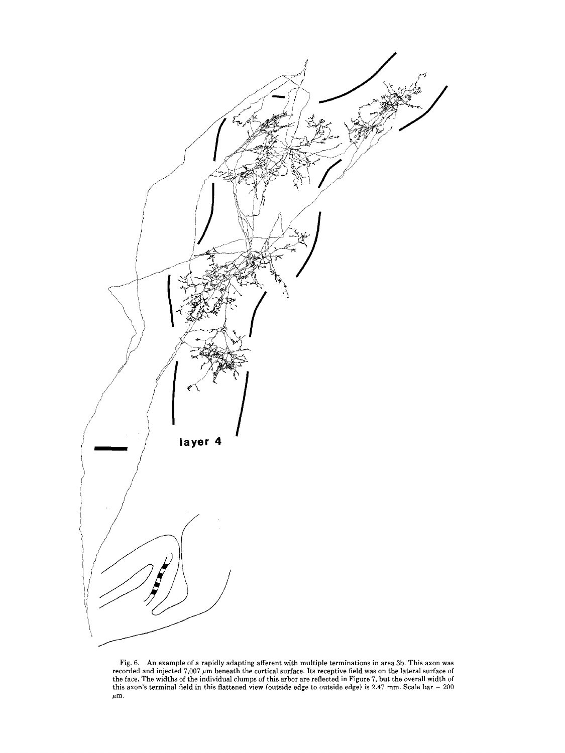

Fig. 6. An example of a rapidly adapting afferent with multiple terminations in area 3b. This axon was recorded and injected  $7{,}007 \ \mu \mathrm{m}$  beneath the cortical surface. Its receptive field was on the lateral surface of the face. The widths of the individual clumps of this arbor are reflected in Figure 7, but the overall width of this axon's terminal field in this flattened view (outside edge to outside edge) is **2.47** mm. Scale bar = 200  $\mu$ m.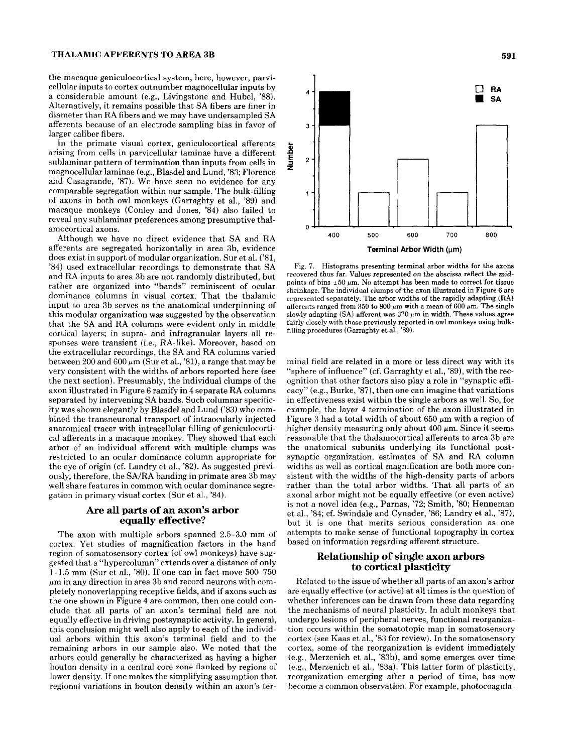#### **THALAMIC AFFERENTS TO AREA 3B**

the macaque geniculocortical system; here, however, parvicellular inputs to cortex outnumber magnocellular inputs by a considerable amount (e.g., Livingstone and Hubel, '88). Alternatively, it remains possible that SA fibers are finer in diameter than RA fibers and we may have undersampled **SA**  afferents because of an electrode sampling bias in favor of larger caliber fibers.

In the primate visual cortex, geniculocortical afferents arising from cells in parvicellular laminae have a different sublaminar pattern of termination than inputs from cells in magnocellular laminae (e.g., Blasdel and Lund, '83; Florence and Casagrande, '87). We have seen no evidence for any comparable segregation within our sample. The bulk-filling of axons in both owl monkeys (Garraghty et al., '89) and macaque monkeys (Conley and Jones, '84) also failed to reveal any sublaminar preferences among presumptive thalamocortical axons.

Although we have no direct evidence that SA and RA afferents are segregated horizontally in area 3b, evidence does exist in support of modular organization. Sur et al. ('81, '84) used extracellular recordings to demonstrate that SA and RA inputs to area 3b are not randomly distributed, but rather are organized into "bands" reminiscent of ocular dominance columns in visual cortex. That the thalamic input to area 3b serves as the anatomical underpinning of this modular organization was suggested by the observation that the SA and RA columns were evident only in middle cortical layers; in supra- and infragranular layers all responses were transient (i.e., **RA-like).** Moreover, hased on the extracellular recordings, the SA and RA columns varied between 200 and 600  $\mu$ m (Sur et al., '81), a range that may be very consistent with the widths of arbors reported here (see the next section). Presumably, the individual clumps of the axon illustrated in Figure 6 ramify in 4 separate RA columns separated by intervening SA bands. Such columnar specificity was shown elegantly by Blasdel and Lund *('83)* who combined the transneuronal transport of intraocularly injected anatomical tracer with intracellular filling of geniculocortical afferents in a macaque monkey. They showed that each arbor of an individual afferent with multiple clumps was restricted to an ocular dominance column appropriate for the eye of origin (cf. Landry et al., '82). As suggested previously, therefore, the SA/RA banding in primate area 3b may well share features in common with ocular dominance segregation in primary visual cortex (Sur et al., '84).

#### **Are all parts of an axon's arbor equally effective?**

The axon with multiple arbors spanned 2.5-3.0 mm of cortex. Yet studies of magnification factors in the hand region of somatosensory cortex (of owl monkeys) have suggested that a "hypercolumn" extends over a distance of only **1-15** mm (Sur et al., '80). If one can in fact move 500-750  $\mu$ m in any direction in area 3b and record neurons with completely nonoverlapping receptive fields, and **if** axons such as the one shown in Figure **4** are common, then one could conclude that all parts of an axon's terminal field are not equally effective in driving postsynaptic activity. In general, this conclusion might well also apply to each of the individual arbors within this axon's terminal field and to the remaining arbors in our sample also. We noted that the arbors could generally be characterized as having a higher bouton density in a central core zone flanked by regions of lower density. If one makes the simplifying assumption that regional variations in bouton density within an axon's ter- become a common observation. For example, photocoagula-



Fig. 7. Histograms presenting terminal arbor widths **for** the axon8 recovered thus far. Values represented on the abscissa reflect the midpoints of bins  $\pm 50 \ \mu \text{m}$ . No attempt has been made to correct for tissue shrinkage. The individual clumps of the axon illustrated in Figure 6 are represented separately. The arbor widths **of** the rapidly adapting **(RA)**  afferents ranged from 350 to 800  $\mu$ m with a mean of 600  $\mu$ m. The single slowly adapting  $(SA)$  afferent was  $370 \mu m$  in width. These values agree fairly closely with those previously reported in owl monkeys using bulkfilling procedures (Garraghty et al., '89).

mind field are related in a more or less direct way with its "sphere of influence" (cf. Garraghty et al., %9), with the recognition that other factors also play a role in "synaptic efficacy" (e.g., Burke, '87), then one can imagine that variations in effectiveness exist within the single arbors as well. So, for example, the layer **4** termination of the axon illustrated in Figure 3 had a total width of about  $650 \mu m$  with a region of higher density measuring only about  $400 \mu m$ . Since it seems reasonable that the thalamocortical afferents to area 3b are the anatomical subunits underlying its functional postsynaptic organization, estimates of SA and RA column widths as well as cortical magnification are both more consistent with the widths of the high-density parts of arbors rather than the total arbor widths. That all parts of an axonal arbor might not be equally effective (or even active) is not a novel idea (e.g., Parnas, '72; Smith, '80; Henneman et al., '84; cf. Swindale and Cynader, '86; Landry et al., *'87),*  but it is one that merits serious consideration as one attempts to make sense of functional topography in cortex based on information regarding afferent structure.

## **Relationship of single axon arbors to cortical plasticity**

Related to the issue of whether all parts of an axon's arbor are equally effective (or active) at all times is the question of whether inferences can be drawn from these data regarding the mechanisms of neural plasticity. In adult monkeys that undergo lesions of peripheral nerves, functional reorganization occurs within the somatotopic map in somatosensory cortex (see Kaas et al., '83 for review). In the somatosensory cortex, some of the reorganization is evident immediately (e.g., Merzenich et al., '83b), and some emerges over time (e.g., Merzenich et al., '83a). This latter form of plasticity, reorganization emerging after a period of time, has now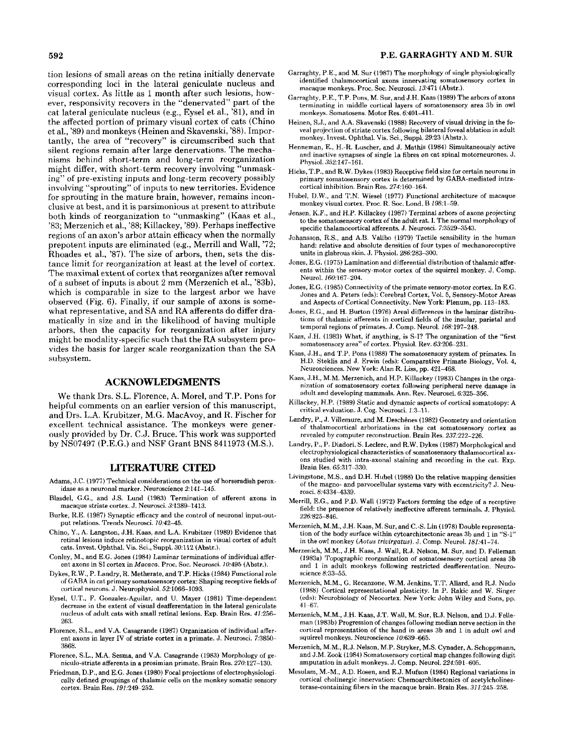tion lesions of small areas on the retina initially denervate corresponding loci in the lateral geniculate nucleus and visual cortex. As little as 1 month after such lesions, however, responsivity recovers in the "denervated" part of the cat lateral geniculate nucleus (e.g., Eysel et al., '81), and in the affected portion of primary visual cortex of cats (Chino et al., '89) and monkeys (Heinen and Skavenski, '88). Importantly, the area of "recovery" is circumscribed such that silent regions remain after large denervations. The mechanisms behind short-term and long-term reorganization might differ, with short-term recovery involving "unmasking" of pre-existing inputs and long-term recovery possibly involving "sprouting" of inputs to new territories. Evidence for sprouting in the mature brain, however, remains inconclusive at best. and it is parsimonious at present to attribute both kinds of reorganization to "unmasking" (Kaas et al., '83; Merzenich et al., '88; Killackey, '89). Perhaps ineffective regions of an axon's arbor attain efficacy when the normally prepotent inputs are eliminated (e.g., Merrill and Wall, '72; Rhoades et al., '87). The size of arbors, then, sets the distance limit for reorganization at least at the level of cortex. The maximal extent of cortex that reorganizes after removal of a subset of inputs is about 2 mm (Merzenich et al., '83h), which is comparable in size to the largest arbor we have observed (Fig. 6). Finally, if our sample of axons is somewhat representative, and SA and **RA** afferents do differ dramatically in size and in the likelihood of having multiple arbors, then the capacity for reorganization after injury might be modality-specific such that the **RA** subsystem provides the basis for larger scale reorganization than the **SA**  subsystem.

#### **ACKNOWLEDGMENTS**

We thank Drs. S.L. Florence, **A.** Morel, and T.P. Pons for helpful comments on an earlier version of this manuscript, and Drs. L.A. Krubitzer, M.G. MacAvoy, and R. Fischer for excellent technical assistance. The monkeys were generously provided by Dr. C.J. Bruce. This work was supported by NS07497 (P.E.G.) and NSF Grant BNS 8411973 (M.S.).

#### LITERATURE **CITED**

- Adams, J.C. (1977) Technical considerations on the use of horseradish peroxidase as a neuronal marker. Neuroscience 2:141-145.
- Blasdel, G.G., and J.S. Lund (1983) Termination of afferent axons in macaque striate cortex. **J.** Neurosci. 3,1389-1413.
- Burke, R.E. (1987) Synaptic efficacy and the control of neuronal input-output relations. Trends Neurosci. 10:42-45.
- Chino, *Y.,* A. Langston, J.H. Kaas, and L.A. Krubitzer (1989) Evidence that retinal lesions induce retinotopic reorganization in visual cortex of adult cats. Invest. Ophthal. Vis. Sci., Suppl. 30:112 (Abstr.).
- Conley, M., and E.G. Jones (1984) Laminar terminations of individual afferent axons in SI cortex in *Macaca.* Proc. Soc. Neurosci. 10:495 (Abstr.).
- Dykes, R.W., P. Landry, R. Metherate, and T.P. Hicks (1984) Functional role of GARA **in** cat primary somatosensory cortex: Shaping receptive fields of cortical neurons. J. Neurophysiol. 521066-1093.
- Eysel, U.T., F. Gonzalez-Aguilar, and **U.** Mayer (1981) Time-dependent decrease in the extent of visual deafferentation in the lateral geniculate nucleus of adult cats with small retinal lesions. Exp. Brain Res. *41:256-*  263.
- Florence, S.L., and V.A. Casagrande (1987) Organization of individual afferent axons in layer IV of striate cortex in a primate. J. Neurosci. 73850- 3868.
- Florence, S.L., M.A. Sesma, and V.A. Casagrande (1983) Morphology of geniculo-striate afferents in a prosimian primate. Brain Res. 270:127-130.
- Friedman, D.P., and E.G. Jones (1980) Focal projections of electrophysiologically defined groupings of thalamic cells on the monkey somatic sensory cortex. Brain Res. 191:249-252.

# **592 P.E. GARRAGHTY AND M. SUR**

- Garraghty, P.E., and M. Sur (1987) The morphology of single physiologically identified thalamocortical axons innervating somatosensory cortex in macaque monkeys. Proc. Soc. Neurosci. 13471 (Ahstr.).
- Garraghty, P.E., T.P. Pons, M. Sur, and J.H. Kaas (1989) The arbors of axons terminating in middle cortical layers of somatosensory area 3h in owl monkeys. Somatosens. Motor Res. 6:401-411.
- Heinen, S.J., and A.A. Skavenski (1988) Recovery **of** visual driving in the foveal projection of striate cortex following bilateral foveal ablation in adult monkey. Invest. Ophthal. Vis. Sci., Suppl. **2923** (Ahstr.).
- Henneman, E., H.-R. Luscher, and J. Mathis (1984) Simultaneously active and inartive synapses of single la fibres on cat spinal motorneurones. J. Physiol. 352:147-161.
- Hicks, T.P., and R.W. Dykes (1983) Receptive field size for certain neurons in primary somatosensory cortex is determined by GABA-mediated intracortical inhibition. Brain Res. 274:160-164.
- Hubel, D.W., and T.N. Wiesel (1977) Functional architecture of macaque monkey visual cortex. Proc. R. Soc. Lond. B 298:1-59.
- Jensen, K.F., and H.P. Killackey (1987) Terminal arbors of axons projecting to the somatosensory cortex of the adult rat. **I.** The normal morphology of specific thalamocortical afferents. J. Neurosci. 7:3529-3543.
- Johansson, R.S., and A.B. Vallbo (1979) Tactile sensibility in the human hand: relative and absolute densities of four types of mechanoreceptive units in glabrous skin. J. Physiol. 286:283-300.
- Jones, E.G. (1975) Lamination and differential distribution of thalamic afferents within the sensory-motor cortex **of** the squirrel monkey. J. Comp. Neurol. 160:167-204.
- Jones, E.G. (1985) Connectivity of the primate sensory-motor cortex. **In** E.G. Jones and A. Peters (eds): Cerebral Cortex, Vol. 5, Sensory-Motor Areas and Aspects of Cortical Connectivity. New York: Plenum, pp. 113-183.
- Jones, E.G., and H. Burton (1976) Areal differences in the laminar distrihutions of thalamic afferents in cortical fields of the insular, parietal and temporal regions of primates. J. Comp. Neurol. 168:197-248.
- Kaas, J.H. (1983) What, if anything, is S-I? The organization of the "first somatosensory area" of cortex. Physiol. Rev. 63.206-231.
- Kaas, J.H., and T.P. Pons (1988) The somatosensory system **of** primates. In H.D. Steklis and J. Erwin (eds): Comparative Primate Biology, Vol. **4,**  Neurosciences. New York: Alan R. Liss, pp. 421-468.
- Kaas, **d.H.,** M.M. Merzenich, and H.P. Killackey (1983) Changes in the organization of somatosensory cortex following peripheral nerve damage in adult and developing mammals. Ann. Rev. Neurosci. 6:325-356.
- Killackey, H.P. (1989) Static and dynamic aspects of cortical somatotopy: A critical evaluation. J. Cog. Neurosci. 1:3-11.
- Landry, P., J. Villemure, and M. Deschênes (1982) Geometry and orientation of thalamocortical arhorizations in the cat somatosensory cortex as revealed by computer reconstruction. Brain Res. 237:222-226.
- Landry, P., **P.** Diadori, S. Leclerc, and R.W. Dykes (1987) Morphological and electrophysiological characteristics of somatosensory thalamocortical axons studied with intra-axonal staining and recording in the cat. Exp. Brain Res. 65:317-330.
- Livingstone, M.S., and D.H. Hubel (1988) Do the relative mapping densities of the magno- and parvocellular systems vary with eccentricity? J. Neurosci. 8:4334-4339.
- Merrill, E.G., and P.D. Wall (1972) Factors forming the edge of **a** receptive field: the presence **of** relatively ineffective afferent terminals. J. Physiol. 226:825-846
- Merzenich, M.M., J.H. Kaas, M. Sur, and C.-S. Lin (1978) Double representation of the body surface within cytoarchitectonic areas 3b and 1 in "S-I" in the owl monkey (Aotus trivirgatus). J. Comp. Neurol. 181:41-74.
- Merzenich, M.M., J.H. Kaas, **J.** Wall, R.J. Nelson, M. Sur, and D. Felleman (1983a) Topographic reorganization of somatosensory cortical areas 3b and 1 in adult monkeys following restricted deafferentation. Neuroscience *8:33-55.*
- Merzenich, M.M., G. Hecanzone, W.M. Jenkins, T.T. Allard, and R.J. Nudo (1988) Cortical representational plasticity. In P. Rakic and W. Singer (eds): Neurobiology of Neocortex. New York: John Wiley and Sons, pp. 41-67.
- Merzenich, M.M., **J.H.** Kaas, J.T. Wall, M. Sur, R.J. Nelson, and D.J. Felleman (1983b) Progression of changes following median nerve section in the cortical representation of the hand in areas **3b** and 1 in adult owl and squirrel monkeys. Neuroscience *10:639-665.*
- Merzenich, M.M., R.J. Nelson, M.P. Stryker, M.S. Cynader,A. Schoppmann, and J.M. Zook (1984) Somatosensory cortical map changes following digit amputation in adult monkeys. J. Comp. Neurol. 224.591- 605.
- Mesulam, M.-M., A.D. Kosen, and E.J. Mufson (1984) Regional variations in cortical cholinergic innervation: Chemoarchitectonics of acetylcholinesterase-containing fibers in the macaque brain. Brain Res. 31 1:245-258.